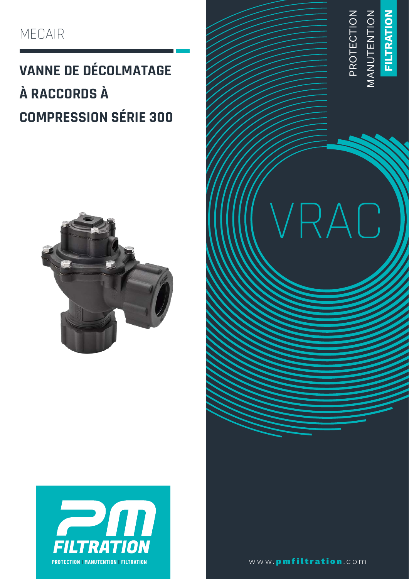### MECAIR

### **VANNE DE DÉCOLMATAGE** À RACCORDS À **COMPRESSION SÉRIE 300**







www.pmfiltration.com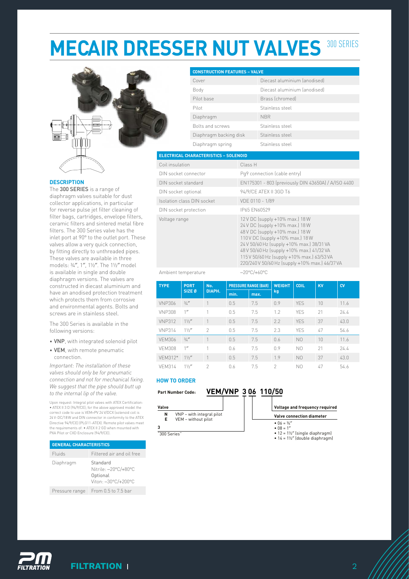# **MECAIR DRESSER NUT VALVES 300 SERIES**



#### **DESCRIPTION**

The 300 SERIES is a range of diaphragm valves suitable for dust collector applications, in particular for reverse pulse jet filter cleaning of filter bags, cartridges, envelope filters, ceramic filters and sintered metal fibre filters. The 300 Series valve has the inlet port at 90° to the outlet port. These valves allow a very quick connection, by fitting directly to unthreaded pipes. These valves are available in three models: ¾″, 1″, 1½″. The 1½″ model is available in single and double diaphragm versions. The valves are constructed in diecast aluminium and have an anodised protection treatment which protects them from corrosive and environmental agents. Bolts and screws are in stainless steel.

The 300 Series is available in the following versions:

- VNP, with integrated solenoid pilot
- VEM, with remote pneumatic connection.

*Important: The installation of these valves should only be for pneumatic connection and not for mechanical fixing. We suggest that the pipe should butt up to the internal lip of the valve.* 

Upon request: Integral pilot valves with ATEX Certification: • ATEX II 3 D (94/9/CE); for the above approved model the correct code to use is VEM+PV 24 V/DCX (solenoid coil is 24 V-DC/18 W and DIN connector in conformity to the ATEX Directive 94/9/CE) (PLG11-ATEX). Remote pilot valves meet the requirements of: • ATEX II 2 GD when mounted with PXA Pilot or CXD Enclosure (94/9/CE).

| <b>GENERAL CHARACTERISTICS</b> |                                                                     |  |  |  |  |  |
|--------------------------------|---------------------------------------------------------------------|--|--|--|--|--|
| Fluids                         | Filtered air and oil free                                           |  |  |  |  |  |
| Diaphragm                      | Standard<br>Nitrile: -20°C/+80°C<br>Optional<br>Viton: -30°C/+200°C |  |  |  |  |  |
| Pressure range                 | From 0.5 to 7.5 bar                                                 |  |  |  |  |  |

| <b>CONSTRUCTION FEATURES - VALVE</b> |                              |
|--------------------------------------|------------------------------|
| Cover                                | Diecast aluminium (anodised) |
| Body                                 | Diecast aluminium (anodised) |
| Pilot base                           | Brass (chromed)              |
| Pilot                                | Stainless steel              |
| Diaphragm                            | <b>NBR</b>                   |
| Bolts and screws                     | Stainless steel              |
| Diaphragm backing disk               | Stainless steel              |
| Diaphragm spring                     | Stainless steel              |

| Coil insulation            | Class H                                                                                                                                                                                                                                                                                                                             |
|----------------------------|-------------------------------------------------------------------------------------------------------------------------------------------------------------------------------------------------------------------------------------------------------------------------------------------------------------------------------------|
| DIN socket connector       | Pq9 connection (cable entry)                                                                                                                                                                                                                                                                                                        |
| DIN socket standard        | EN175301 - 803 (previously DIN 43650A) / A/ISO 4400                                                                                                                                                                                                                                                                                 |
| DIN socket optional        | 94/9/CE ATEX II 3GD T6                                                                                                                                                                                                                                                                                                              |
| Isolation class DIN socket | VDE 0110 - 1/89                                                                                                                                                                                                                                                                                                                     |
| DIN socket protection      | IP65 FN60529                                                                                                                                                                                                                                                                                                                        |
| Voltage range              | 12 V DC (supply +10% max.) 18 W<br>24 V DC (supply +10% max.) 18 W<br>48 V DC (supply +10% max.) 18 W<br>110 V DC (supply +10% max.) 18 W<br>24 V 50/60 Hz (supply +10% max.) 38/31 VA<br>48 V 50/60 Hz (supply +10% max.) 41/32 VA<br>115 V 50/60 Hz (supply +10% max.) 63/53 VA<br>220/240 V 50/60 Hz (supply +10% max.) 46/37 VA |

#### Ambient temperature −20°C/+60°C

| <b>TYPE</b>   | <b>PORT</b><br>SIZE <sub>0</sub> | No.<br>DIAPH. | <b>PRESSURE RANGE (BAR)</b> |      | <b>WEIGHT</b> | <b>COIL</b>    | <b>KV</b> | CV   |
|---------------|----------------------------------|---------------|-----------------------------|------|---------------|----------------|-----------|------|
|               |                                  |               | min.                        | max. | kg            |                |           |      |
| <b>VNP306</b> | 3/4''                            | 1             | 0.5                         | 7.5  | 0.9           | <b>YES</b>     | 10        | 11.6 |
| <b>VNP308</b> | 1''                              | 1             | 0.5                         | 7.5  | 1.2           | <b>YFS</b>     | 21        | 74.4 |
| <b>VNP312</b> | 11/2''                           | $\mathbf{1}$  | 0.5                         | 7.5  | 2.2           | <b>YFS</b>     | 37        | 43.0 |
| <b>VNP314</b> | $1\frac{1}{2}$                   | $\mathcal{P}$ | 0.5                         | 7.5  | 2.3           | <b>YFS</b>     | 47        | 54.6 |
| <b>VEM306</b> | 3/4''                            | 1             | 0.5                         | 7.5  | 0.6           | N <sub>0</sub> | 10        | 11.6 |
| <b>VFM308</b> | 1''                              | 1             | 0.6                         | 7.5  | 0.9           | N0             | 21        | 24.4 |
| VFM312*       | 11/2''                           | 1             | 0.5                         | 7.5  | 1.9           | N <sub>0</sub> | 37        | 43.0 |
| <b>VFM314</b> | 11/2''                           | $\mathcal{P}$ | 0.6                         | 7.5  | $\mathcal{P}$ | N0             | 47        | 54.6 |

### **HOW TO ORDER**

**Part Number Code:**

### **VEM/VNP 3 06 110/50**

| Valve |                       |
|-------|-----------------------|
| N     | VNP - with integral p |



"300 Series"

**3**

| Voltage and frequency required           |  |  |  |  |  |  |
|------------------------------------------|--|--|--|--|--|--|
| <b>Valve connection diameter</b>         |  |  |  |  |  |  |
| • $\bigcap_{k=1}^{n} A_k = 3/2^n$        |  |  |  |  |  |  |
| • $\Omega = 1''$                         |  |  |  |  |  |  |
| • $12 = 1\frac{1}{2}$ (single diaphragm) |  |  |  |  |  |  |

•  $14 = 1\frac{1}{2}$  (double diaphragm)

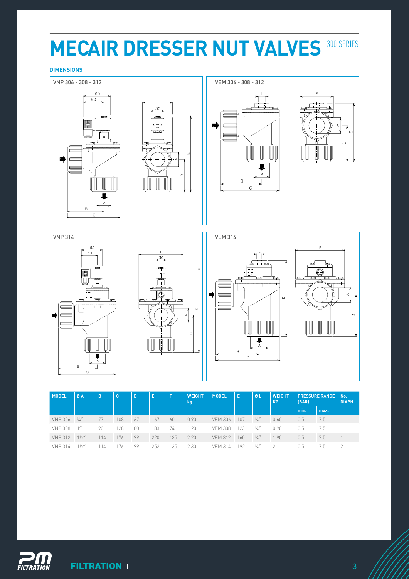## **MECAIR DRESSER NUT VALVES 300 SERIES**

### **DIMENSIONS**



| <b>MODEL</b>   | ØA             | B   | c   | D  | Е   | F   | <b>WEIGHT</b><br>kg | <b>MODEL</b>   | E   | ØL            | <b>WEIGHT</b><br>KG | (BAR)         | <b>PRESSURE RANGE</b> | No.<br>DIAPH. |
|----------------|----------------|-----|-----|----|-----|-----|---------------------|----------------|-----|---------------|---------------------|---------------|-----------------------|---------------|
|                |                |     |     |    |     |     |                     |                |     |               |                     | min.          | max.                  |               |
| <b>VNP 306</b> | 3/4''          | 77  | 108 | 67 | 167 | 60  | 0.90                | <b>VEM 306</b> | 107 | $\frac{1}{4}$ | 0.60                | 0.5           | 7.5                   |               |
| <b>VNP 308</b> | 1''            | 90  | 128 | 80 | 183 | 74  | 1.20                | <b>VFM 308</b> | 123 | $\frac{1}{4}$ | 0.90                | $0.5^{\circ}$ | 7.5                   |               |
| <b>VNP 312</b> | $1\frac{1}{2}$ | 114 | 176 | 99 | 220 | 135 | 2.20                | <b>VEM 312</b> | 160 | 1/a''         | .90                 | 0.5           | 7.5                   |               |
| <b>VNP 314</b> | 11/2''         |     | 76  | 99 | 252 | 135 | 2.30                | <b>VFM 314</b> | 192 | $\frac{1}{4}$ |                     | 0.5           | 7.5                   | $\gamma$      |

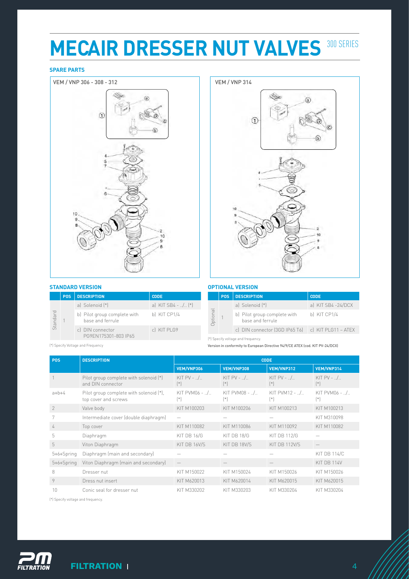## **MECAIR DRESSER NUT VALVES 300 SERIES**

### **SPARE PARTS**



#### **STANDARD VERSION**

|          | <b>POS</b> | <b>DESCRIPTION.</b>                              | <b>CODE</b>                              |
|----------|------------|--------------------------------------------------|------------------------------------------|
| Standard |            | a) Solenoid (*)                                  | a) KIT SB4 - / $(*)$                     |
|          |            | b) Pilot group complete with<br>base and ferrule | b) KIT CP1/4                             |
|          |            |                                                  | c) DIN connector<br>PG9FN175301-803 IP65 |



### **OPTIONAL VERSION**

|          | <b>POS</b> | <b>DESCRIPTION</b>                                   | <b>CODE</b>        |
|----------|------------|------------------------------------------------------|--------------------|
| Optional |            | a) Solenoid (*)                                      | a) KIT SB4 -24/DCX |
|          |            | b) Pilot group complete with<br>hase and ferrule     | b) KIT CP1/4       |
|          |            | c) DIN connector (3GD IP65 T6)   c) KIT PLG11 - ATEX |                    |

(\*) Specify Voltage and Frequency

(\*) Specify voltage and frequency.

Version in conformity to European Directive 94/9/CE ATEX (cod. KIT PV-24/DCX)

| <b>POS</b>    | <b>DESCRIPTION</b>                                              | <b>CODE</b>                 |                           |                                |                                |  |  |
|---------------|-----------------------------------------------------------------|-----------------------------|---------------------------|--------------------------------|--------------------------------|--|--|
|               |                                                                 | VEM/VNP306                  | VEM/VNP308                | VEM/VNP312                     | VEM/VNP314                     |  |  |
|               | Pilot group complete with solenoid (*)<br>and DIN connector     | KIT $PV - 0.1$<br>$[$ * $]$ | KIT $PV - 0.1$<br>$[ * ]$ | KIT PV - $\ldots$<br>$[$ * $]$ | KIT PV - $\ldots$<br>$[$ * $]$ |  |  |
| $a+b+4$       | Pilot group complete with solenoid (*),<br>top cover and screws | KIT PVM06 - $1.1$           | KIT PVM08 - /<br>$[*]$    | KIT PVM12 - $\ldots$<br>$(*)$  | $KIT$ PVM06 - $M.$<br>$[ * ]$  |  |  |
| $\mathcal{P}$ | Valve body                                                      | KIT M100203                 | KIT M100206               | KIT M100213                    | KIT M100213                    |  |  |
|               | Intermediate cover (double diaphragm)                           |                             |                           |                                | KIT M310098                    |  |  |
| 4             | Top cover                                                       | KIT M110082                 | KIT M110086               | KIT M110092                    | KIT M110082                    |  |  |
| 5             | Diaphragm                                                       | KIT DB 16/G                 | KIT DB 18/G               | <b>KIT DB 112/G</b>            |                                |  |  |
| 5             | Viton Diaphragm                                                 | KIT DB 16V/S                | KIT DB 18V/S              | KIT DB 112V/S                  |                                |  |  |
| 5+6+Spring    | Diaphragm (main and secondary)                                  |                             |                           |                                | <b>KIT DB 114/C</b>            |  |  |
| 5+6+Spring    | Viton Diaphragm (main and secondary)                            |                             |                           |                                | KIT DB 114V                    |  |  |
| 8             | Dresser nut                                                     | KIT M150022                 | KIT M150024               | KIT M150026                    | KIT M150026                    |  |  |
| 9             | Dress nut insert                                                | KIT M620013                 | KIT M620014               | KIT M620015                    | KIT M620015                    |  |  |
| 10            | Conic seal for dresser nut                                      | KIT M330202                 | KIT M330203               | KIT M330204                    | KIT M330204                    |  |  |

(\*) Specify voltage and frequency.